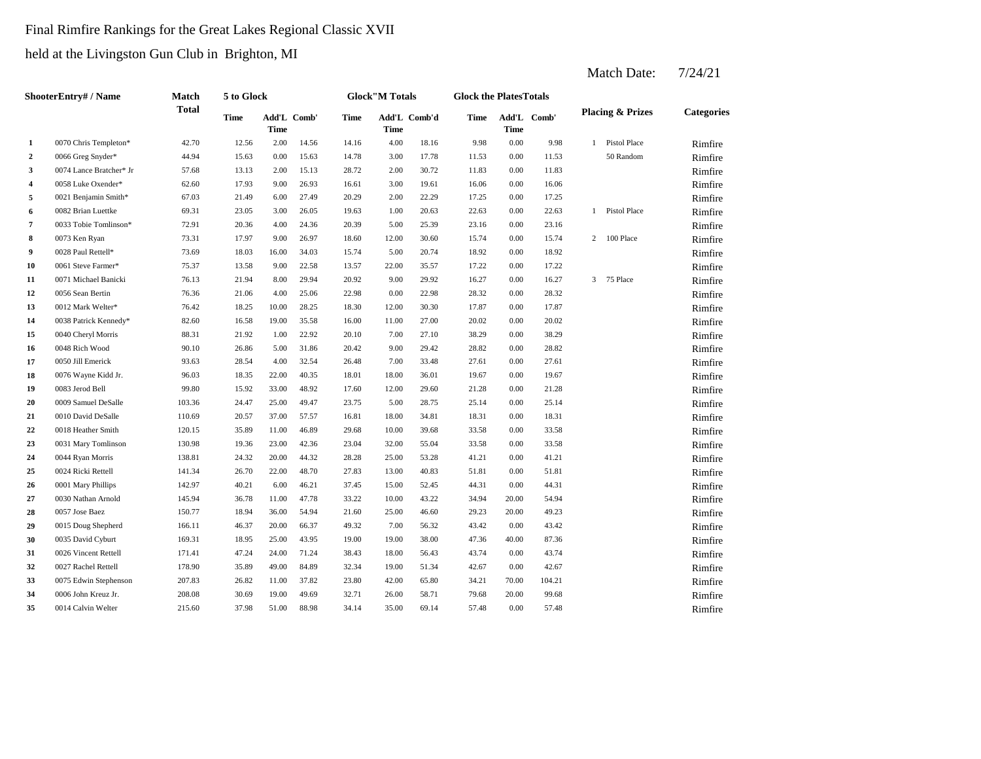# Final Rimfire Rankings for the Great Lakes Regional Classic XVII

held at the Livingston Gun Club in Brighton, MI

|                | ShooterEntry# / Name    | Match        | 5 to Glock |                     |       |       | <b>Glock"M Totals</b> |              | <b>Glock the PlatesTotals</b> |       |             |                             |                   |
|----------------|-------------------------|--------------|------------|---------------------|-------|-------|-----------------------|--------------|-------------------------------|-------|-------------|-----------------------------|-------------------|
|                |                         | <b>Total</b> | Time       | Add'L Comb'<br>Time |       | Time  | Time                  | Add'L Comb'd | Time                          | Time  | Add'L Comb' | <b>Placing &amp; Prizes</b> | <b>Categories</b> |
| $\mathbf{1}$   | 0070 Chris Templeton*   | 42.70        | 12.56      | 2.00                | 14.56 | 14.16 | 4.00                  | 18.16        | 9.98                          | 0.00  | 9.98        | 1 Pistol Place              | Rimfire           |
| $\overline{2}$ | 0066 Greg Snyder*       | 44.94        | 15.63      | 0.00                | 15.63 | 14.78 | 3.00                  | 17.78        | 11.53                         | 0.00  | 11.53       | 50 Random                   | Rimfire           |
| 3              | 0074 Lance Bratcher* Jr | 57.68        | 13.13      | 2.00                | 15.13 | 28.72 | 2.00                  | 30.72        | 11.83                         | 0.00  | 11.83       |                             | Rimfire           |
| 4              | 0058 Luke Oxender*      | 62.60        | 17.93      | 9.00                | 26.93 | 16.61 | 3.00                  | 19.61        | 16.06                         | 0.00  | 16.06       |                             | Rimfire           |
| 5              | 0021 Benjamin Smith*    | 67.03        | 21.49      | 6.00                | 27.49 | 20.29 | 2.00                  | 22.29        | 17.25                         | 0.00  | 17.25       |                             | Rimfire           |
| 6              | 0082 Brian Luettke      | 69.31        | 23.05      | 3.00                | 26.05 | 19.63 | 1.00                  | 20.63        | 22.63                         | 0.00  | 22.63       | 1 Pistol Place              | Rimfire           |
| 7              | 0033 Tobie Tomlinson*   | 72.91        | 20.36      | 4.00                | 24.36 | 20.39 | 5.00                  | 25.39        | 23.16                         | 0.00  | 23.16       |                             | Rimfire           |
| 8              | 0073 Ken Ryan           | 73.31        | 17.97      | 9.00                | 26.97 | 18.60 | 12.00                 | 30.60        | 15.74                         | 0.00  | 15.74       | 2 100 Place                 | Rimfire           |
| 9              | 0028 Paul Rettell*      | 73.69        | 18.03      | 16.00               | 34.03 | 15.74 | 5.00                  | 20.74        | 18.92                         | 0.00  | 18.92       |                             | Rimfire           |
| 10             | 0061 Steve Farmer*      | 75.37        | 13.58      | 9.00                | 22.58 | 13.57 | 22.00                 | 35.57        | 17.22                         | 0.00  | 17.22       |                             | Rimfire           |
| 11             | 0071 Michael Banicki    | 76.13        | 21.94      | 8.00                | 29.94 | 20.92 | 9.00                  | 29.92        | 16.27                         | 0.00  | 16.27       | 3 75 Place                  | Rimfire           |
| 12             | 0056 Sean Bertin        | 76.36        | 21.06      | 4.00                | 25.06 | 22.98 | 0.00                  | 22.98        | 28.32                         | 0.00  | 28.32       |                             | Rimfire           |
| 13             | 0012 Mark Welter*       | 76.42        | 18.25      | 10.00               | 28.25 | 18.30 | 12.00                 | 30.30        | 17.87                         | 0.00  | 17.87       |                             | Rimfire           |
| 14             | 0038 Patrick Kennedy*   | 82.60        | 16.58      | 19.00               | 35.58 | 16.00 | 11.00                 | 27.00        | 20.02                         | 0.00  | 20.02       |                             | Rimfire           |
| 15             | 0040 Cheryl Morris      | 88.31        | 21.92      | 1.00                | 22.92 | 20.10 | 7.00                  | 27.10        | 38.29                         | 0.00  | 38.29       |                             | Rimfire           |
| 16             | 0048 Rich Wood          | 90.10        | 26.86      | 5.00                | 31.86 | 20.42 | 9.00                  | 29.42        | 28.82                         | 0.00  | 28.82       |                             | Rimfire           |
| 17             | 0050 Jill Emerick       | 93.63        | 28.54      | 4.00                | 32.54 | 26.48 | 7.00                  | 33.48        | 27.61                         | 0.00  | 27.61       |                             | Rimfire           |
| 18             | 0076 Wayne Kidd Jr.     | 96.03        | 18.35      | 22.00               | 40.35 | 18.01 | 18.00                 | 36.01        | 19.67                         | 0.00  | 19.67       |                             | Rimfire           |
| 19             | 0083 Jerod Bell         | 99.80        | 15.92      | 33.00               | 48.92 | 17.60 | 12.00                 | 29.60        | 21.28                         | 0.00  | 21.28       |                             | Rimfire           |
| 20             | 0009 Samuel DeSalle     | 103.36       | 24.47      | 25.00               | 49.47 | 23.75 | 5.00                  | 28.75        | 25.14                         | 0.00  | 25.14       |                             | Rimfire           |
| 21             | 0010 David DeSalle      | 110.69       | 20.57      | 37.00               | 57.57 | 16.81 | 18.00                 | 34.81        | 18.31                         | 0.00  | 18.31       |                             | Rimfire           |
| 22             | 0018 Heather Smith      | 120.15       | 35.89      | 11.00               | 46.89 | 29.68 | 10.00                 | 39.68        | 33.58                         | 0.00  | 33.58       |                             | Rimfire           |
| 23             | 0031 Mary Tomlinson     | 130.98       | 19.36      | 23.00               | 42.36 | 23.04 | 32.00                 | 55.04        | 33.58                         | 0.00  | 33.58       |                             | Rimfire           |
| 24             | 0044 Ryan Morris        | 138.81       | 24.32      | 20.00               | 44.32 | 28.28 | 25.00                 | 53.28        | 41.21                         | 0.00  | 41.21       |                             | Rimfire           |
| 25             | 0024 Ricki Rettell      | 141.34       | 26.70      | 22.00               | 48.70 | 27.83 | 13.00                 | 40.83        | 51.81                         | 0.00  | 51.81       |                             | Rimfire           |
| 26             | 0001 Mary Phillips      | 142.97       | 40.21      | 6.00                | 46.21 | 37.45 | 15.00                 | 52.45        | 44.31                         | 0.00  | 44.31       |                             | Rimfire           |
| 27             | 0030 Nathan Arnold      | 145.94       | 36.78      | 11.00               | 47.78 | 33.22 | 10.00                 | 43.22        | 34.94                         | 20.00 | 54.94       |                             | Rimfire           |
| 28             | 0057 Jose Baez          | 150.77       | 18.94      | 36.00               | 54.94 | 21.60 | 25.00                 | 46.60        | 29.23                         | 20.00 | 49.23       |                             | Rimfire           |
| 29             | 0015 Doug Shepherd      | 166.11       | 46.37      | 20.00               | 66.37 | 49.32 | 7.00                  | 56.32        | 43.42                         | 0.00  | 43.42       |                             | Rimfire           |
| 30             | 0035 David Cyburt       | 169.31       | 18.95      | 25.00               | 43.95 | 19.00 | 19.00                 | 38.00        | 47.36                         | 40.00 | 87.36       |                             | Rimfire           |
| 31             | 0026 Vincent Rettell    | 171.41       | 47.24      | 24.00               | 71.24 | 38.43 | 18.00                 | 56.43        | 43.74                         | 0.00  | 43.74       |                             | Rimfire           |
| 32             | 0027 Rachel Rettell     | 178.90       | 35.89      | 49.00               | 84.89 | 32.34 | 19.00                 | 51.34        | 42.67                         | 0.00  | 42.67       |                             | Rimfire           |
| 33             | 0075 Edwin Stephenson   | 207.83       | 26.82      | 11.00               | 37.82 | 23.80 | 42.00                 | 65.80        | 34.21                         | 70.00 | 104.21      |                             | Rimfire           |
| 34             | 0006 John Kreuz Jr.     | 208.08       | 30.69      | 19.00               | 49.69 | 32.71 | 26.00                 | 58.71        | 79.68                         | 20.00 | 99.68       |                             | Rimfire           |
| 35             | 0014 Calvin Welter      | 215.60       | 37.98      | 51.00               | 88.98 | 34.14 | 35.00                 | 69.14        | 57.48                         | 0.00  | 57.48       |                             | Rimfire           |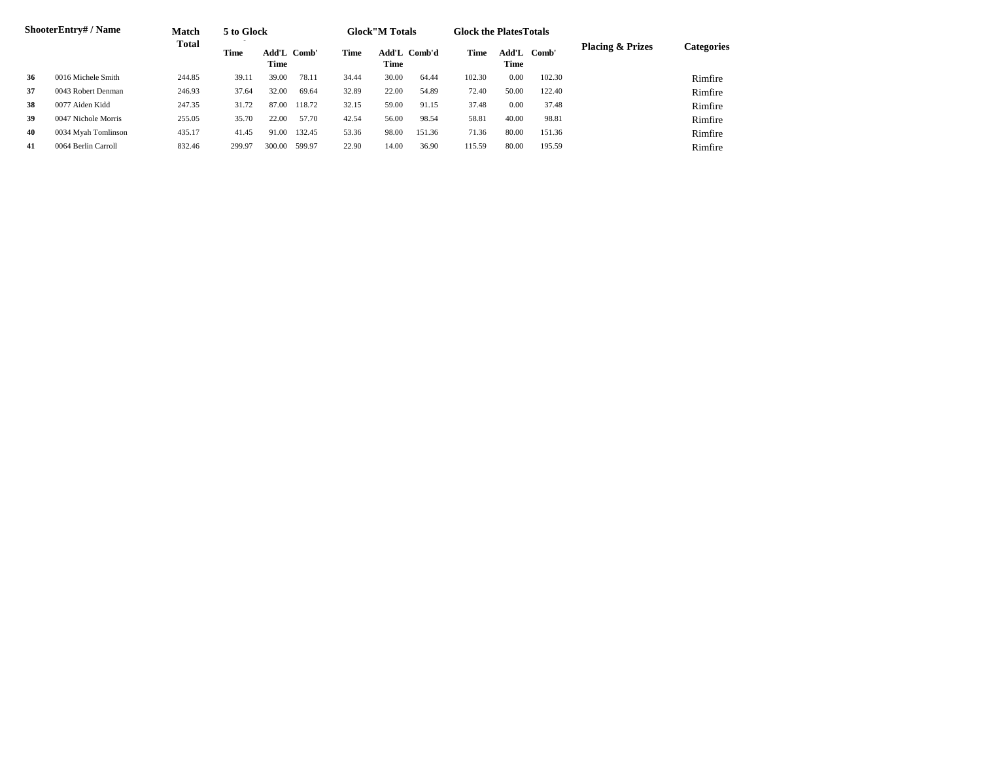|    | <b>ShooterEntry#/Name</b> | Match        | 5 to Glock  |                     |        |       | <b>Glock</b> "M Totals |        | <b>Glock the Plates Totals</b> |               |        |                             |            |
|----|---------------------------|--------------|-------------|---------------------|--------|-------|------------------------|--------|--------------------------------|---------------|--------|-----------------------------|------------|
|    |                           | <b>Total</b> | <b>Time</b> | Add'L Comb'<br>Time |        | Time  | Add'L<br>Time          | Comb'd | Time                           | Add'L<br>Time | Comb'  | <b>Placing &amp; Prizes</b> | Categories |
| 36 | 0016 Michele Smith        | 244.85       | 39.11       | 39.00               | 78.11  | 34.44 | 30.00                  | 64.44  | 102.30                         | 0.00          | 102.30 |                             | Rimfire    |
| 37 | 0043 Robert Denman        | 246.93       | 37.64       | 32.00               | 69.64  | 32.89 | 22.00                  | 54.89  | 72.40                          | 50.00         | 122.40 |                             | Rimfire    |
| 38 | 0077 Aiden Kidd           | 247.35       | 31.72       | 87.00               | 118.72 | 32.15 | 59.00                  | 91.15  | 37.48                          | 0.00          | 37.48  |                             | Rimfire    |
| 39 | 0047 Nichole Morris       | 255.05       | 35.70       | 22.00               | 57.70  | 42.54 | 56.00                  | 98.54  | 58.81                          | 40.00         | 98.81  |                             | Rimfire    |
| 40 | 0034 Myah Tomlinson       | 435.17       | 41.45       | 91.00               | 132.45 | 53.36 | 98.00                  | 151.36 | 71.36                          | 80.00         | 151.36 |                             | Rimfire    |
| 41 | 0064 Berlin Carroll       | 832.46       | 299.97      | 300.00              | 599.97 | 22.90 | 14.00                  | 36.90  | 115.59                         | 80.00         | 195.59 |                             | Rimfire    |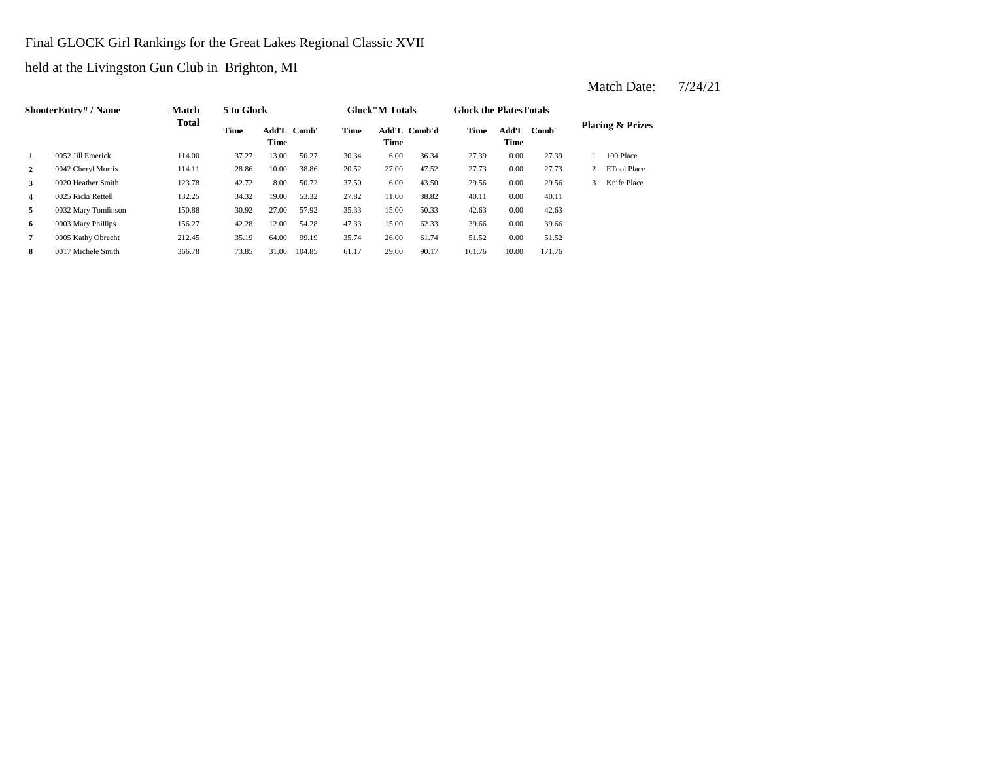### Final GLOCK Girl Rankings for the Great Lakes Regional Classic XVII

held at the Livingston Gun Club in Brighton, MI

**2** 0042 Cheryl Morris 114.11 28.86 10.00 38.86 20.52 27.00 47.52 27.73 0.00 **3** 6.00 **43.50 29.56 123.78 42.72** 8.00 **50.72 37.50 6.00 43.50 29.56 4** 0025 Ricki Rettell 132.25 34.32 19.00 53.32 27.82 11.00 38.82 40.11 **5** 0032 Mary Tomlinson 150.88 30.92 27.00 57.92 35.33 15.00 50.33 42.63 **6** 0003 Mary Phillips 156.27 42.28 12.00 54.28 47.33 15.00 62.33 39.66 0.00 **7** 0005 Kathy Obrecht 212.45 35.19 64.00 99.19 35.74 26.00 61.74 51.52 0.00 51.52 **8** 0017 Michele Smith 366.78 73.85 31.00 104.85 61.17 29.00 90.17 161.76 10.00 171.76 39.66 0.00 42.63 38.82 0.00 40.11 0.00 29.56 3 Knife Place 27.73 2 ETool Place 1 100 Place **1** 0052 Jill Emerick 114.00 37.27 13.00 50.27 30.34 6.00 36.34 27.39 0.00 27.39 **Placing & Prizes Time Add'L Comb'd Time Add'L Comb' Time** Add'L Comb' **Time Add'L Time Time ShooterEntry# / Name Match Total 5 to Glock Time Glock"M Totals Glock the PlatesTotals**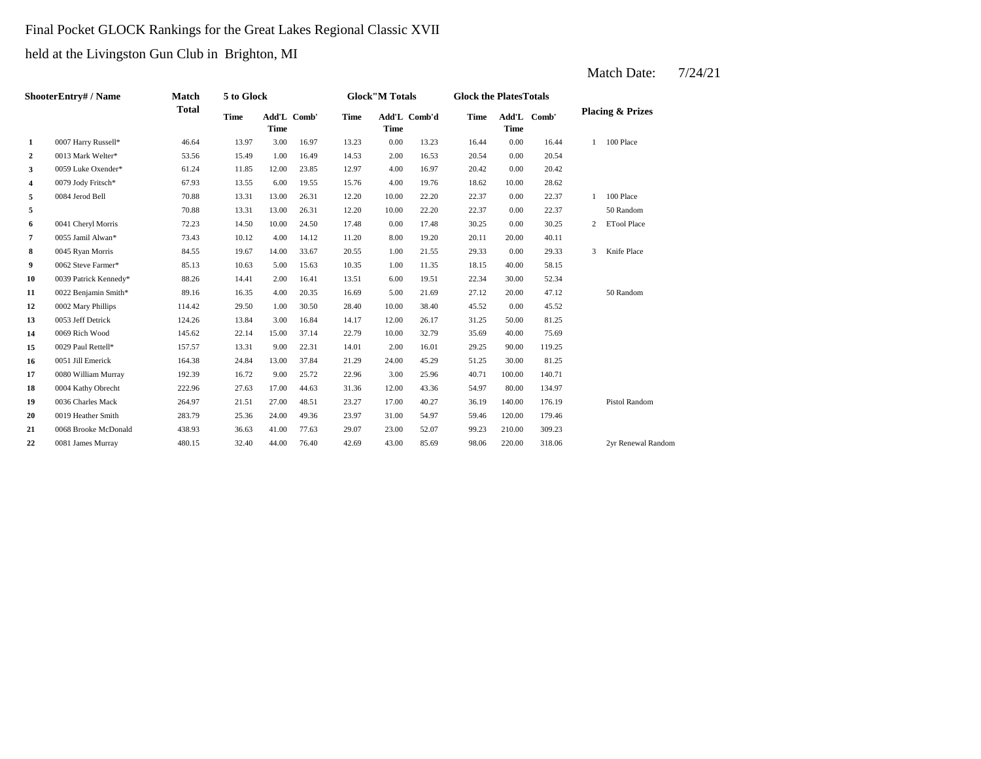# Final Pocket GLOCK Rankings for the Great Lakes Regional Classic XVII

held at the Livingston Gun Club in Brighton, MI

|                | ShooterEntry# / Name  | <b>Match</b> | 5 to Glock  |             |             |       | <b>Glock</b> "M Totals |              | <b>Glock the Plates Totals</b> |                      |        |                |                             |
|----------------|-----------------------|--------------|-------------|-------------|-------------|-------|------------------------|--------------|--------------------------------|----------------------|--------|----------------|-----------------------------|
|                |                       | <b>Total</b> | <b>Time</b> | <b>Time</b> | Add'L Comb' | Time  | <b>Time</b>            | Add'L Comb'd | <b>Time</b>                    | Add'L<br><b>Time</b> | Comb'  |                | <b>Placing &amp; Prizes</b> |
| 1              | 0007 Harry Russell*   | 46.64        | 13.97       | 3.00        | 16.97       | 13.23 | 0.00                   | 13.23        | 16.44                          | 0.00                 | 16.44  | $\mathbf{1}$   | 100 Place                   |
| $\overline{2}$ | 0013 Mark Welter*     | 53.56        | 15.49       | 1.00        | 16.49       | 14.53 | 2.00                   | 16.53        | 20.54                          | 0.00                 | 20.54  |                |                             |
| 3              | 0059 Luke Oxender*    | 61.24        | 11.85       | 12.00       | 23.85       | 12.97 | 4.00                   | 16.97        | 20.42                          | 0.00                 | 20.42  |                |                             |
| 4              | 0079 Jody Fritsch*    | 67.93        | 13.55       | 6.00        | 19.55       | 15.76 | 4.00                   | 19.76        | 18.62                          | 10.00                | 28.62  |                |                             |
| 5              | 0084 Jerod Bell       | 70.88        | 13.31       | 13.00       | 26.31       | 12.20 | 10.00                  | 22.20        | 22.37                          | 0.00                 | 22.37  |                | 100 Place                   |
| 5              |                       | 70.88        | 13.31       | 13.00       | 26.31       | 12.20 | 10.00                  | 22.20        | 22.37                          | 0.00                 | 22.37  |                | 50 Random                   |
| 6              | 0041 Cheryl Morris    | 72.23        | 14.50       | 10.00       | 24.50       | 17.48 | 0.00                   | 17.48        | 30.25                          | 0.00                 | 30.25  | $\overline{c}$ | <b>ETool Place</b>          |
| 7              | 0055 Jamil Alwan*     | 73.43        | 10.12       | 4.00        | 14.12       | 11.20 | 8.00                   | 19.20        | 20.11                          | 20.00                | 40.11  |                |                             |
| 8              | 0045 Ryan Morris      | 84.55        | 19.67       | 14.00       | 33.67       | 20.55 | 1.00                   | 21.55        | 29.33                          | 0.00                 | 29.33  | 3              | Knife Place                 |
| 9              | 0062 Steve Farmer*    | 85.13        | 10.63       | 5.00        | 15.63       | 10.35 | 1.00                   | 11.35        | 18.15                          | 40.00                | 58.15  |                |                             |
| 10             | 0039 Patrick Kennedy* | 88.26        | 14.41       | 2.00        | 16.41       | 13.51 | 6.00                   | 19.51        | 22.34                          | 30.00                | 52.34  |                |                             |
| 11             | 0022 Benjamin Smith*  | 89.16        | 16.35       | 4.00        | 20.35       | 16.69 | 5.00                   | 21.69        | 27.12                          | 20.00                | 47.12  |                | 50 Random                   |
| 12             | 0002 Mary Phillips    | 114.42       | 29.50       | 1.00        | 30.50       | 28.40 | 10.00                  | 38.40        | 45.52                          | 0.00                 | 45.52  |                |                             |
| 13             | 0053 Jeff Detrick     | 124.26       | 13.84       | 3.00        | 16.84       | 14.17 | 12.00                  | 26.17        | 31.25                          | 50.00                | 81.25  |                |                             |
| 14             | 0069 Rich Wood        | 145.62       | 22.14       | 15.00       | 37.14       | 22.79 | 10.00                  | 32.79        | 35.69                          | 40.00                | 75.69  |                |                             |
| 15             | 0029 Paul Rettell*    | 157.57       | 13.31       | 9.00        | 22.31       | 14.01 | 2.00                   | 16.01        | 29.25                          | 90.00                | 119.25 |                |                             |
| 16             | 0051 Jill Emerick     | 164.38       | 24.84       | 13.00       | 37.84       | 21.29 | 24.00                  | 45.29        | 51.25                          | 30.00                | 81.25  |                |                             |
| 17             | 0080 William Murray   | 192.39       | 16.72       | 9.00        | 25.72       | 22.96 | 3.00                   | 25.96        | 40.71                          | 100.00               | 140.71 |                |                             |
| 18             | 0004 Kathy Obrecht    | 222.96       | 27.63       | 17.00       | 44.63       | 31.36 | 12.00                  | 43.36        | 54.97                          | 80.00                | 134.97 |                |                             |
| 19             | 0036 Charles Mack     | 264.97       | 21.51       | 27.00       | 48.51       | 23.27 | 17.00                  | 40.27        | 36.19                          | 140.00               | 176.19 |                | Pistol Random               |
| 20             | 0019 Heather Smith    | 283.79       | 25.36       | 24.00       | 49.36       | 23.97 | 31.00                  | 54.97        | 59.46                          | 120.00               | 179.46 |                |                             |
| 21             | 0068 Brooke McDonald  | 438.93       | 36.63       | 41.00       | 77.63       | 29.07 | 23.00                  | 52.07        | 99.23                          | 210.00               | 309.23 |                |                             |
| 22             | 0081 James Murray     | 480.15       | 32.40       | 44.00       | 76.40       | 42.69 | 43.00                  | 85.69        | 98.06                          | 220.00               | 318.06 |                | 2yr Renewal Random          |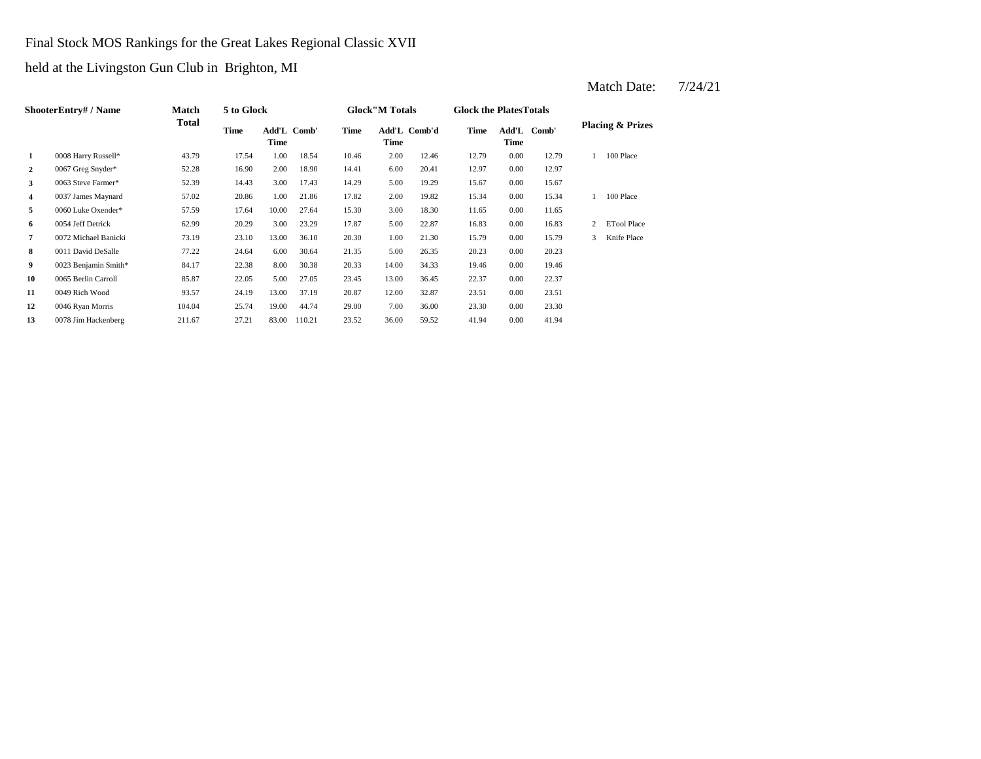# Final Stock MOS Rankings for the Great Lakes Regional Classic XVII

held at the Livingston Gun Club in Brighton, MI

|                | ShooterEntry# / Name | <b>Match</b> | 5 to Glock |                     |        |       | <b>Glock</b> "M Totals |              | <b>Glock the Plates Totals</b> |      |             |   |                             |
|----------------|----------------------|--------------|------------|---------------------|--------|-------|------------------------|--------------|--------------------------------|------|-------------|---|-----------------------------|
|                |                      | Total        | Time       | Add'L Comb'<br>Time |        | Time  | Time                   | Add'L Comb'd | Time                           | Time | Add'L Comb' |   | <b>Placing &amp; Prizes</b> |
| 1              | 0008 Harry Russell*  | 43.79        | 17.54      | 1.00                | 18.54  | 10.46 | 2.00                   | 12.46        | 12.79                          | 0.00 | 12.79       |   | 100 Place                   |
| $\overline{2}$ | 0067 Greg Snyder*    | 52.28        | 16.90      | 2.00                | 18.90  | 14.41 | 6.00                   | 20.41        | 12.97                          | 0.00 | 12.97       |   |                             |
| 3              | 0063 Steve Farmer*   | 52.39        | 14.43      | 3.00                | 17.43  | 14.29 | 5.00                   | 19.29        | 15.67                          | 0.00 | 15.67       |   |                             |
| 4              | 0037 James Maynard   | 57.02        | 20.86      | 1.00                | 21.86  | 17.82 | 2.00                   | 19.82        | 15.34                          | 0.00 | 15.34       |   | 100 Place                   |
| 5              | 0060 Luke Oxender*   | 57.59        | 17.64      | 10.00               | 27.64  | 15.30 | 3.00                   | 18.30        | 11.65                          | 0.00 | 11.65       |   |                             |
| 6              | 0054 Jeff Detrick    | 62.99        | 20.29      | 3.00                | 23.29  | 17.87 | 5.00                   | 22.87        | 16.83                          | 0.00 | 16.83       |   | <b>ETool Place</b>          |
| 7              | 0072 Michael Banicki | 73.19        | 23.10      | 13.00               | 36.10  | 20.30 | 1.00                   | 21.30        | 15.79                          | 0.00 | 15.79       | 3 | Knife Place                 |
| 8              | 0011 David DeSalle   | 77.22        | 24.64      | 6.00                | 30.64  | 21.35 | 5.00                   | 26.35        | 20.23                          | 0.00 | 20.23       |   |                             |
| 9              | 0023 Benjamin Smith* | 84.17        | 22.38      | 8.00                | 30.38  | 20.33 | 14.00                  | 34.33        | 19.46                          | 0.00 | 19.46       |   |                             |
| 10             | 0065 Berlin Carroll  | 85.87        | 22.05      | 5.00                | 27.05  | 23.45 | 13.00                  | 36.45        | 22.37                          | 0.00 | 22.37       |   |                             |
| 11             | 0049 Rich Wood       | 93.57        | 24.19      | 13.00               | 37.19  | 20.87 | 12.00                  | 32.87        | 23.51                          | 0.00 | 23.51       |   |                             |
| 12             | 0046 Ryan Morris     | 104.04       | 25.74      | 19.00               | 44.74  | 29.00 | 7.00                   | 36.00        | 23.30                          | 0.00 | 23.30       |   |                             |
| 13             | 0078 Jim Hackenberg  | 211.67       | 27.21      | 83.00               | 110.21 | 23.52 | 36.00                  | 59.52        | 41.94                          | 0.00 | 41.94       |   |                             |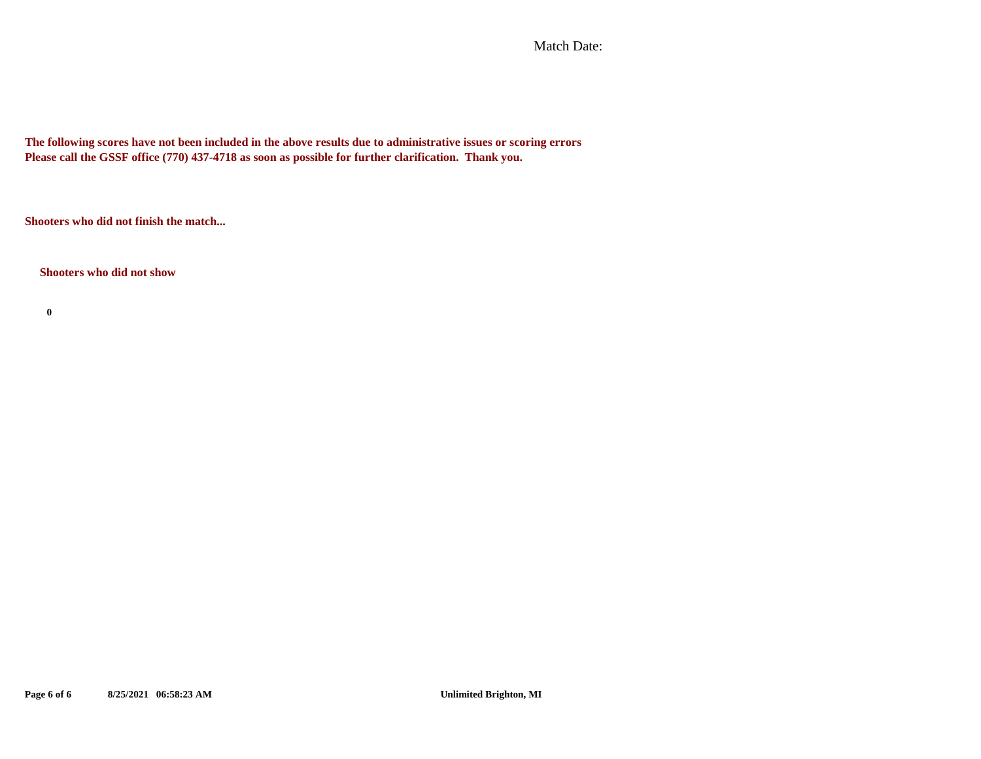Match Date:

**The following scores have not been included in the above results due to administrative issues or scoring errors Please call the GSSF office (770) 437-4718 as soon as possible for further clarification. Thank you.**

**Shooters who did not finish the match...**

**Shooters who did not show**

**0**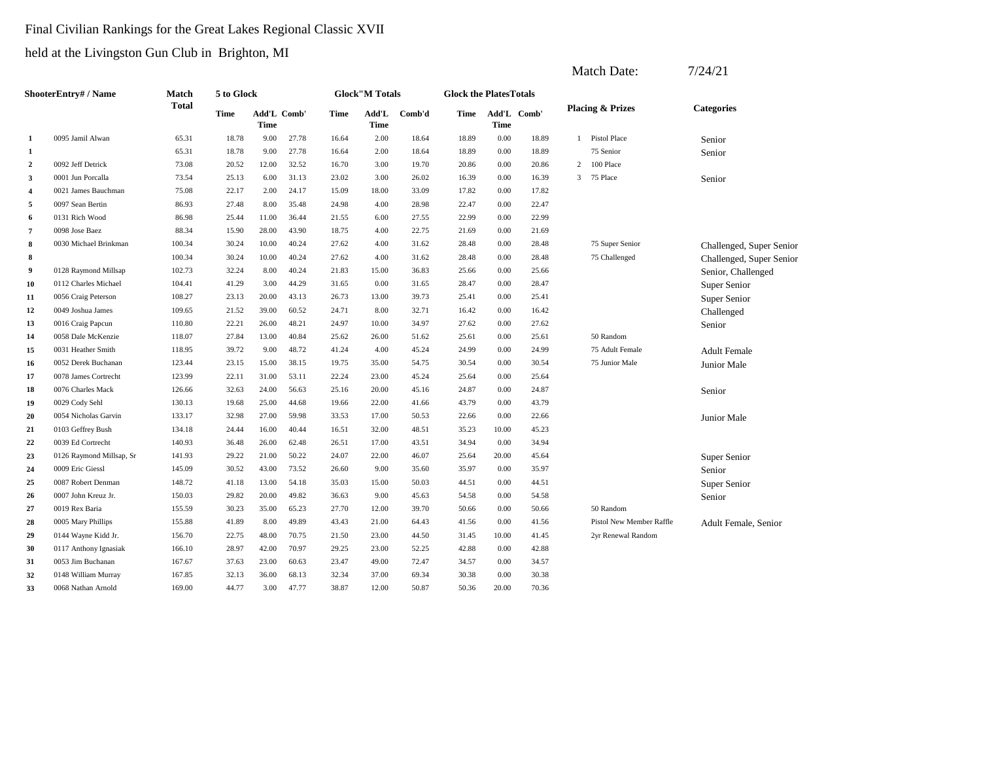# Final Civilian Rankings for the Great Lakes Regional Classic XVII

|                  |                             |              |             |                            |       |       |                       |        |                               |                            |       |                | Match Date:                 | 7/24/21                  |
|------------------|-----------------------------|--------------|-------------|----------------------------|-------|-------|-----------------------|--------|-------------------------------|----------------------------|-------|----------------|-----------------------------|--------------------------|
|                  | <b>ShooterEntry# / Name</b> | Match        | 5 to Glock  |                            |       |       | <b>Glock"M Totals</b> |        | <b>Glock the PlatesTotals</b> |                            |       |                |                             |                          |
|                  |                             | <b>Total</b> | <b>Time</b> | Add'L Comb'<br><b>Time</b> |       | Time  | Add'L<br><b>Time</b>  | Comb'd | Time                          | Add'L Comb'<br><b>Time</b> |       |                | <b>Placing &amp; Prizes</b> | <b>Categories</b>        |
| 1                | 0095 Jamil Alwan            | 65.31        | 18.78       | 9.00                       | 27.78 | 16.64 | 2.00                  | 18.64  | 18.89                         | 0.00                       | 18.89 | $\overline{1}$ | <b>Pistol Place</b>         | Senior                   |
| 1                |                             | 65.31        | 18.78       | 9.00                       | 27.78 | 16.64 | 2.00                  | 18.64  | 18.89                         | 0.00                       | 18.89 |                | 75 Senior                   | Senior                   |
| $\boldsymbol{2}$ | 0092 Jeff Detrick           | 73.08        | 20.52       | 12.00                      | 32.52 | 16.70 | 3.00                  | 19.70  | 20.86                         | 0.00                       | 20.86 | 2              | 100 Place                   |                          |
| 3                | 0001 Jun Porcalla           | 73.54        | 25.13       | 6.00                       | 31.13 | 23.02 | 3.00                  | 26.02  | 16.39                         | 0.00                       | 16.39 | 3              | 75 Place                    | Senior                   |
| $\overline{4}$   | 0021 James Bauchman         | 75.08        | 22.17       | 2.00                       | 24.17 | 15.09 | 18.00                 | 33.09  | 17.82                         | 0.00                       | 17.82 |                |                             |                          |
| 5                | 0097 Sean Bertin            | 86.93        | 27.48       | 8.00                       | 35.48 | 24.98 | 4.00                  | 28.98  | 22.47                         | 0.00                       | 22.47 |                |                             |                          |
| 6                | 0131 Rich Wood              | 86.98        | 25.44       | 11.00                      | 36.44 | 21.55 | 6.00                  | 27.55  | 22.99                         | 0.00                       | 22.99 |                |                             |                          |
| $\overline{7}$   | 0098 Jose Baez              | 88.34        | 15.90       | 28.00                      | 43.90 | 18.75 | 4.00                  | 22.75  | 21.69                         | 0.00                       | 21.69 |                |                             |                          |
| 8                | 0030 Michael Brinkman       | 100.34       | 30.24       | 10.00                      | 40.24 | 27.62 | 4.00                  | 31.62  | 28.48                         | 0.00                       | 28.48 |                | 75 Super Senior             | Challenged, Super Senior |
| 8                |                             | 100.34       | 30.24       | 10.00                      | 40.24 | 27.62 | 4.00                  | 31.62  | 28.48                         | 0.00                       | 28.48 |                | 75 Challenged               | Challenged, Super Senior |
| 9                | 0128 Raymond Millsap        | 102.73       | 32.24       | 8.00                       | 40.24 | 21.83 | 15.00                 | 36.83  | 25.66                         | 0.00                       | 25.66 |                |                             | Senior, Challenged       |
| 10               | 0112 Charles Michael        | 104.41       | 41.29       | 3.00                       | 44.29 | 31.65 | 0.00                  | 31.65  | 28.47                         | 0.00                       | 28.47 |                |                             | Super Senior             |
| 11               | 0056 Craig Peterson         | 108.27       | 23.13       | 20.00                      | 43.13 | 26.73 | 13.00                 | 39.73  | 25.41                         | 0.00                       | 25.41 |                |                             | Super Senior             |
| 12               | 0049 Joshua James           | 109.65       | 21.52       | 39.00                      | 60.52 | 24.71 | 8.00                  | 32.71  | 16.42                         | 0.00                       | 16.42 |                |                             | Challenged               |
| 13               | 0016 Craig Papcun           | 110.80       | 22.21       | 26.00                      | 48.21 | 24.97 | 10.00                 | 34.97  | 27.62                         | 0.00                       | 27.62 |                |                             | Senior                   |
| 14               | 0058 Dale McKenzie          | 118.07       | 27.84       | 13.00                      | 40.84 | 25.62 | 26.00                 | 51.62  | 25.61                         | 0.00                       | 25.61 |                | 50 Random                   |                          |
| 15               | 0031 Heather Smith          | 118.95       | 39.72       | 9.00                       | 48.72 | 41.24 | 4.00                  | 45.24  | 24.99                         | 0.00                       | 24.99 |                | 75 Adult Female             | <b>Adult Female</b>      |
| 16               | 0052 Derek Buchanan         | 123.44       | 23.15       | 15.00                      | 38.15 | 19.75 | 35.00                 | 54.75  | 30.54                         | 0.00                       | 30.54 |                | 75 Junior Male              | Junior Male              |
| 17               | 0078 James Cortrecht        | 123.99       | 22.11       | 31.00                      | 53.11 | 22.24 | 23.00                 | 45.24  | 25.64                         | 0.00                       | 25.64 |                |                             |                          |
| 18               | 0076 Charles Mack           | 126.66       | 32.63       | 24.00                      | 56.63 | 25.16 | 20.00                 | 45.16  | 24.87                         | 0.00                       | 24.87 |                |                             | Senior                   |
| 19               | 0029 Cody Sehl              | 130.13       | 19.68       | 25.00                      | 44.68 | 19.66 | 22.00                 | 41.66  | 43.79                         | 0.00                       | 43.79 |                |                             |                          |
| 20               | 0054 Nicholas Garvin        | 133.17       | 32.98       | 27.00                      | 59.98 | 33.53 | 17.00                 | 50.53  | 22.66                         | 0.00                       | 22.66 |                |                             | Junior Male              |
| 21               | 0103 Geffrey Bush           | 134.18       | 24.44       | 16.00                      | 40.44 | 16.51 | 32.00                 | 48.51  | 35.23                         | 10.00                      | 45.23 |                |                             |                          |
| 22               | 0039 Ed Cortrecht           | 140.93       | 36.48       | 26.00                      | 62.48 | 26.51 | 17.00                 | 43.51  | 34.94                         | 0.00                       | 34.94 |                |                             |                          |
| 23               | 0126 Raymond Millsap, Sr    | 141.93       | 29.22       | 21.00                      | 50.22 | 24.07 | 22.00                 | 46.07  | 25.64                         | 20.00                      | 45.64 |                |                             | Super Senior             |
| 24               | 0009 Eric Giessl            | 145.09       | 30.52       | 43.00                      | 73.52 | 26.60 | 9.00                  | 35.60  | 35.97                         | 0.00                       | 35.97 |                |                             | Senior                   |
| 25               | 0087 Robert Denman          | 148.72       | 41.18       | 13.00                      | 54.18 | 35.03 | 15.00                 | 50.03  | 44.51                         | 0.00                       | 44.51 |                |                             | Super Senior             |
| 26               | 0007 John Kreuz Jr.         | 150.03       | 29.82       | 20.00                      | 49.82 | 36.63 | 9.00                  | 45.63  | 54.58                         | 0.00                       | 54.58 |                |                             | Senior                   |
| 27               | 0019 Rex Baria              | 155.59       | 30.23       | 35.00                      | 65.23 | 27.70 | 12.00                 | 39.70  | 50.66                         | 0.00                       | 50.66 |                | 50 Random                   |                          |
| 28               | 0005 Mary Phillips          | 155.88       | 41.89       | 8.00                       | 49.89 | 43.43 | 21.00                 | 64.43  | 41.56                         | 0.00                       | 41.56 |                | Pistol New Member Raffle    | Adult Female, Senior     |
| 29               | 0144 Wayne Kidd Jr.         | 156.70       | 22.75       | 48.00                      | 70.75 | 21.50 | 23.00                 | 44.50  | 31.45                         | 10.00                      | 41.45 |                | 2yr Renewal Random          |                          |
| 30               | 0117 Anthony Ignasiak       | 166.10       | 28.97       | 42.00                      | 70.97 | 29.25 | 23.00                 | 52.25  | 42.88                         | 0.00                       | 42.88 |                |                             |                          |
| 31               | 0053 Jim Buchanan           | 167.67       | 37.63       | 23.00                      | 60.63 | 23.47 | 49.00                 | 72.47  | 34.57                         | 0.00                       | 34.57 |                |                             |                          |
| 32               | 0148 William Murray         | 167.85       | 32.13       | 36.00                      | 68.13 | 32.34 | 37.00                 | 69.34  | 30.38                         | 0.00                       | 30.38 |                |                             |                          |
| 33               | 0068 Nathan Arnold          | 169.00       | 44.77       | 3.00                       | 47.77 | 38.87 | 12.00                 | 50.87  | 50.36                         | 20.00                      | 70.36 |                |                             |                          |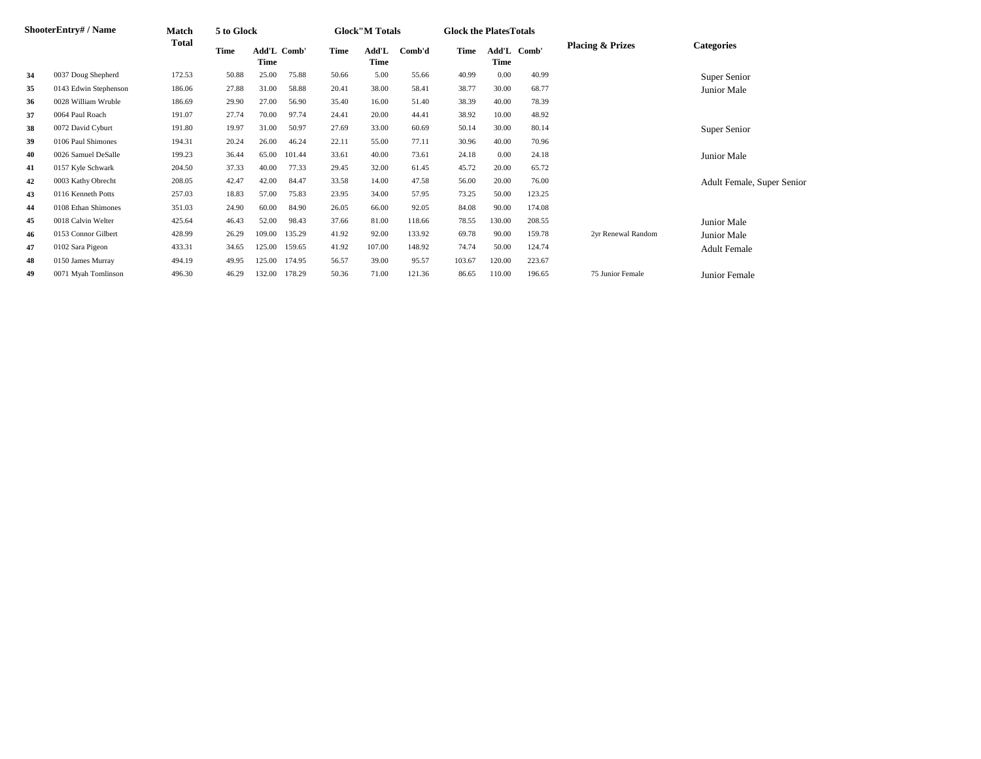|    | ShooterEntry# / Name  | Match  | 5 to Glock |                     |        |       | <b>Glock</b> "M Totals |        | <b>Glock the PlatesTotals</b> |        |             |                             |                            |
|----|-----------------------|--------|------------|---------------------|--------|-------|------------------------|--------|-------------------------------|--------|-------------|-----------------------------|----------------------------|
|    |                       | Total  | Time       | Add'L Comb'<br>Time |        | Time  | Add'L<br>Time          | Comb'd | Time                          | Time   | Add'L Comb' | <b>Placing &amp; Prizes</b> | <b>Categories</b>          |
| 34 | 0037 Doug Shepherd    | 172.53 | 50.88      | 25.00               | 75.88  | 50.66 | 5.00                   | 55.66  | 40.99                         | 0.00   | 40.99       |                             | Super Senior               |
| 35 | 0143 Edwin Stephenson | 186.06 | 27.88      | 31.00               | 58.88  | 20.41 | 38.00                  | 58.41  | 38.77                         | 30.00  | 68.77       |                             | Junior Male                |
| 36 | 0028 William Wruble   | 186.69 | 29.90      | 27.00               | 56.90  | 35.40 | 16.00                  | 51.40  | 38.39                         | 40.00  | 78.39       |                             |                            |
| 37 | 0064 Paul Roach       | 191.07 | 27.74      | 70.00               | 97.74  | 24.41 | 20.00                  | 44.41  | 38.92                         | 10.00  | 48.92       |                             |                            |
| 38 | 0072 David Cyburt     | 191.80 | 19.97      | 31.00               | 50.97  | 27.69 | 33.00                  | 60.69  | 50.14                         | 30.00  | 80.14       |                             | Super Senior               |
| 39 | 0106 Paul Shimones    | 194.31 | 20.24      | 26.00               | 46.24  | 22.11 | 55.00                  | 77.11  | 30.96                         | 40.00  | 70.96       |                             |                            |
| 40 | 0026 Samuel DeSalle   | 199.23 | 36.44      | 65.00               | 101.44 | 33.61 | 40.00                  | 73.61  | 24.18                         | 0.00   | 24.18       |                             | Junior Male                |
| 41 | 0157 Kyle Schwark     | 204.50 | 37.33      | 40.00               | 77.33  | 29.45 | 32.00                  | 61.45  | 45.72                         | 20.00  | 65.72       |                             |                            |
| 42 | 0003 Kathy Obrecht    | 208.05 | 42.47      | 42.00               | 84.47  | 33.58 | 14.00                  | 47.58  | 56.00                         | 20.00  | 76.00       |                             | Adult Female, Super Senior |
| 43 | 0116 Kenneth Potts    | 257.03 | 18.83      | 57.00               | 75.83  | 23.95 | 34.00                  | 57.95  | 73.25                         | 50.00  | 123.25      |                             |                            |
| 44 | 0108 Ethan Shimones   | 351.03 | 24.90      | 60.00               | 84.90  | 26.05 | 66.00                  | 92.05  | 84.08                         | 90.00  | 174.08      |                             |                            |
| 45 | 0018 Calvin Welter    | 425.64 | 46.43      | 52.00               | 98.43  | 37.66 | 81.00                  | 118.66 | 78.55                         | 130.00 | 208.55      |                             | Junior Male                |
| 46 | 0153 Connor Gilbert   | 428.99 | 26.29      | 109.00              | 135.29 | 41.92 | 92.00                  | 133.92 | 69.78                         | 90.00  | 159.78      | 2yr Renewal Random          | Junior Male                |
| 47 | 0102 Sara Pigeon      | 433.31 | 34.65      | 125.00              | 159.65 | 41.92 | 107.00                 | 148.92 | 74.74                         | 50.00  | 124.74      |                             | <b>Adult Female</b>        |
| 48 | 0150 James Murray     | 494.19 | 49.95      | 125.00              | 174.95 | 56.57 | 39.00                  | 95.57  | 103.67                        | 120.00 | 223.67      |                             |                            |
| 49 | 0071 Myah Tomlinson   | 496.30 | 46.29      | 132.00              | 178.29 | 50.36 | 71.00                  | 121.36 | 86.65                         | 110.00 | 196.65      | 75 Junior Female            | Junior Female              |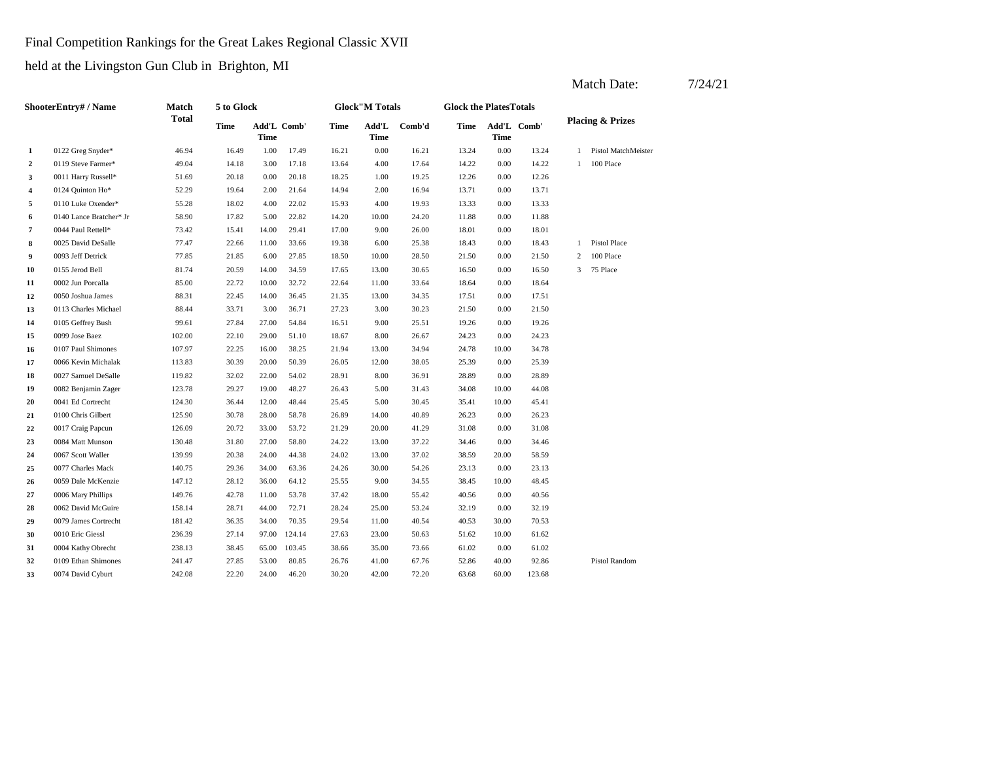Final Competition Rankings for the Great Lakes Regional Classic XVII

held at the Livingston Gun Club in Brighton, MI

|    | ShooterEntry# / Name    | Match        | 5 to Glock |                     |        |       | <b>Glock</b> "M Totals |        | <b>Glock the PlatesTotals</b> |       |             |   |                             |
|----|-------------------------|--------------|------------|---------------------|--------|-------|------------------------|--------|-------------------------------|-------|-------------|---|-----------------------------|
|    |                         | <b>Total</b> | Time       | Add'L Comb'<br>Time |        | Time  | $\bf Add'L$<br>Time    | Comb'd | <b>Time</b>                   | Time  | Add'L Comb' |   | <b>Placing &amp; Prizes</b> |
| 1  | 0122 Greg Snyder*       | 46.94        | 16.49      | 1.00                | 17.49  | 16.21 | 0.00                   | 16.21  | 13.24                         | 0.00  | 13.24       | 1 | <b>Pistol MatchMeister</b>  |
| 2  | 0119 Steve Farmer*      | 49.04        | 14.18      | 3.00                | 17.18  | 13.64 | 4.00                   | 17.64  | 14.22                         | 0.00  | 14.22       | 1 | 100 Place                   |
| 3  | 0011 Harry Russell*     | 51.69        | 20.18      | 0.00                | 20.18  | 18.25 | 1.00                   | 19.25  | 12.26                         | 0.00  | 12.26       |   |                             |
| 4  | 0124 Quinton Ho*        | 52.29        | 19.64      | 2.00                | 21.64  | 14.94 | 2.00                   | 16.94  | 13.71                         | 0.00  | 13.71       |   |                             |
| 5  | 0110 Luke Oxender*      | 55.28        | 18.02      | 4.00                | 22.02  | 15.93 | 4.00                   | 19.93  | 13.33                         | 0.00  | 13.33       |   |                             |
| 6  | 0140 Lance Bratcher* Jr | 58.90        | 17.82      | 5.00                | 22.82  | 14.20 | 10.00                  | 24.20  | 11.88                         | 0.00  | 11.88       |   |                             |
| 7  | 0044 Paul Rettell*      | 73.42        | 15.41      | 14.00               | 29.41  | 17.00 | 9.00                   | 26.00  | 18.01                         | 0.00  | 18.01       |   |                             |
| 8  | 0025 David DeSalle      | 77.47        | 22.66      | 11.00               | 33.66  | 19.38 | 6.00                   | 25.38  | 18.43                         | 0.00  | 18.43       | 1 | Pistol Place                |
| 9  | 0093 Jeff Detrick       | 77.85        | 21.85      | 6.00                | 27.85  | 18.50 | 10.00                  | 28.50  | 21.50                         | 0.00  | 21.50       | 2 | 100 Place                   |
| 10 | 0155 Jerod Bell         | 81.74        | 20.59      | 14.00               | 34.59  | 17.65 | 13.00                  | 30.65  | 16.50                         | 0.00  | 16.50       | 3 | 75 Place                    |
| 11 | 0002 Jun Porcalla       | 85.00        | 22.72      | 10.00               | 32.72  | 22.64 | 11.00                  | 33.64  | 18.64                         | 0.00  | 18.64       |   |                             |
| 12 | 0050 Joshua James       | 88.31        | 22.45      | 14.00               | 36.45  | 21.35 | 13.00                  | 34.35  | 17.51                         | 0.00  | 17.51       |   |                             |
| 13 | 0113 Charles Michael    | 88.44        | 33.71      | 3.00                | 36.71  | 27.23 | 3.00                   | 30.23  | 21.50                         | 0.00  | 21.50       |   |                             |
| 14 | 0105 Geffrey Bush       | 99.61        | 27.84      | 27.00               | 54.84  | 16.51 | 9.00                   | 25.51  | 19.26                         | 0.00  | 19.26       |   |                             |
| 15 | 0099 Jose Baez          | 102.00       | 22.10      | 29.00               | 51.10  | 18.67 | 8.00                   | 26.67  | 24.23                         | 0.00  | 24.23       |   |                             |
| 16 | 0107 Paul Shimones      | 107.97       | 22.25      | 16.00               | 38.25  | 21.94 | 13.00                  | 34.94  | 24.78                         | 10.00 | 34.78       |   |                             |
| 17 | 0066 Kevin Michalak     | 113.83       | 30.39      | 20.00               | 50.39  | 26.05 | 12.00                  | 38.05  | 25.39                         | 0.00  | 25.39       |   |                             |
| 18 | 0027 Samuel DeSalle     | 119.82       | 32.02      | 22.00               | 54.02  | 28.91 | 8.00                   | 36.91  | 28.89                         | 0.00  | 28.89       |   |                             |
| 19 | 0082 Benjamin Zager     | 123.78       | 29.27      | 19.00               | 48.27  | 26.43 | 5.00                   | 31.43  | 34.08                         | 10.00 | 44.08       |   |                             |
| 20 | 0041 Ed Cortrecht       | 124.30       | 36.44      | 12.00               | 48.44  | 25.45 | 5.00                   | 30.45  | 35.41                         | 10.00 | 45.41       |   |                             |
| 21 | 0100 Chris Gilbert      | 125.90       | 30.78      | 28.00               | 58.78  | 26.89 | 14.00                  | 40.89  | 26.23                         | 0.00  | 26.23       |   |                             |
| 22 | 0017 Craig Papcun       | 126.09       | 20.72      | 33.00               | 53.72  | 21.29 | 20.00                  | 41.29  | 31.08                         | 0.00  | 31.08       |   |                             |
| 23 | 0084 Matt Munson        | 130.48       | 31.80      | 27.00               | 58.80  | 24.22 | 13.00                  | 37.22  | 34.46                         | 0.00  | 34.46       |   |                             |
| 24 | 0067 Scott Waller       | 139.99       | 20.38      | 24.00               | 44.38  | 24.02 | 13.00                  | 37.02  | 38.59                         | 20.00 | 58.59       |   |                             |
| 25 | 0077 Charles Mack       | 140.75       | 29.36      | 34.00               | 63.36  | 24.26 | 30.00                  | 54.26  | 23.13                         | 0.00  | 23.13       |   |                             |
| 26 | 0059 Dale McKenzie      | 147.12       | 28.12      | 36.00               | 64.12  | 25.55 | 9.00                   | 34.55  | 38.45                         | 10.00 | 48.45       |   |                             |
| 27 | 0006 Mary Phillips      | 149.76       | 42.78      | 11.00               | 53.78  | 37.42 | 18.00                  | 55.42  | 40.56                         | 0.00  | 40.56       |   |                             |
| 28 | 0062 David McGuire      | 158.14       | 28.71      | 44.00               | 72.71  | 28.24 | 25.00                  | 53.24  | 32.19                         | 0.00  | 32.19       |   |                             |
| 29 | 0079 James Cortrecht    | 181.42       | 36.35      | 34.00               | 70.35  | 29.54 | 11.00                  | 40.54  | 40.53                         | 30.00 | 70.53       |   |                             |
| 30 | 0010 Eric Giessl        | 236.39       | 27.14      | 97.00               | 124.14 | 27.63 | 23.00                  | 50.63  | 51.62                         | 10.00 | 61.62       |   |                             |
| 31 | 0004 Kathy Obrecht      | 238.13       | 38.45      | 65.00               | 103.45 | 38.66 | 35.00                  | 73.66  | 61.02                         | 0.00  | 61.02       |   |                             |
| 32 | 0109 Ethan Shimones     | 241.47       | 27.85      | 53.00               | 80.85  | 26.76 | 41.00                  | 67.76  | 52.86                         | 40.00 | 92.86       |   | <b>Pistol Random</b>        |
| 33 | 0074 David Cyburt       | 242.08       | 22.20      | 24.00               | 46.20  | 30.20 | 42.00                  | 72.20  | 63.68                         | 60.00 | 123.68      |   |                             |
|    |                         |              |            |                     |        |       |                        |        |                               |       |             |   |                             |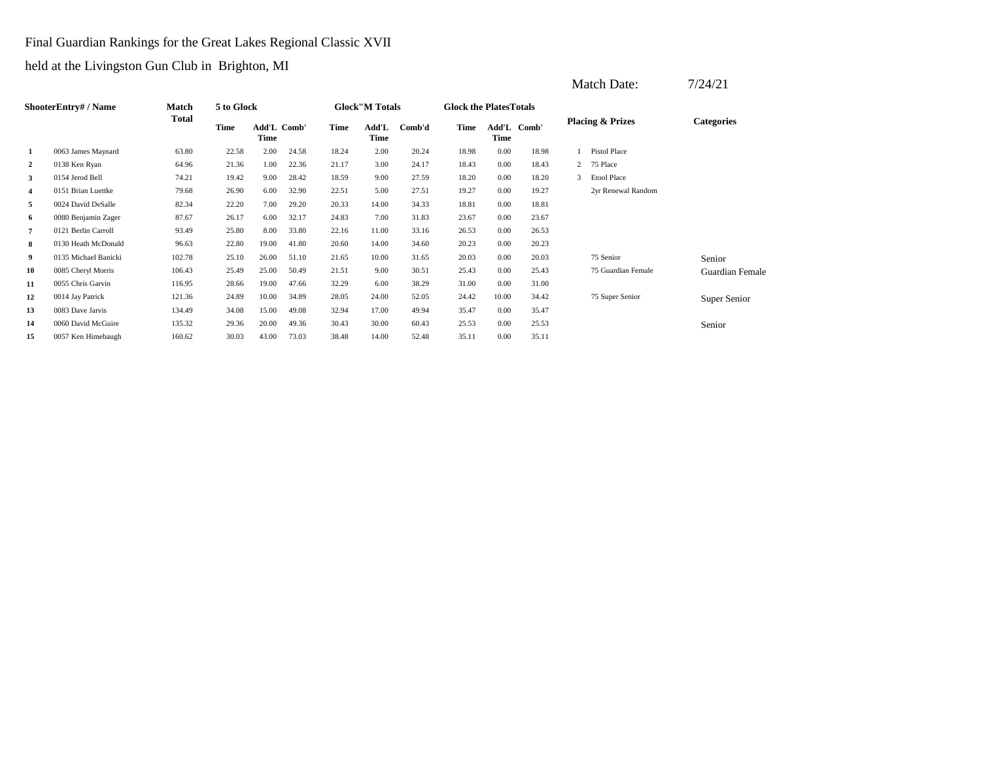Final Guardian Rankings for the Great Lakes Regional Classic XVII

|                |                           |        |            |                            |       |       |                        |        |                               |          |             | Match Date:                 | 7/24/21                |
|----------------|---------------------------|--------|------------|----------------------------|-------|-------|------------------------|--------|-------------------------------|----------|-------------|-----------------------------|------------------------|
|                | <b>ShooterEntry#/Name</b> | Match  | 5 to Glock |                            |       |       | <b>Glock</b> "M Totals |        | <b>Glock the PlatesTotals</b> |          |             |                             |                        |
|                |                           | Total  | Time       | Add'L Comb'<br><b>Time</b> |       | Time  | Add'L<br>Time          | Comb'd | Time                          | Time     | Add'L Comb' | <b>Placing &amp; Prizes</b> | <b>Categories</b>      |
| 1              | 0063 James Maynard        | 63.80  | 22.58      | 2.00                       | 24.58 | 18.24 | 2.00                   | 20.24  | 18.98                         | 0.00     | 18.98       | Pistol Place                |                        |
| $\overline{2}$ | 0138 Ken Ryan             | 64.96  | 21.36      | 1.00                       | 22.36 | 21.17 | 3.00                   | 24.17  | 18.43                         | 0.00     | 18.43       | 2 75 Place                  |                        |
| 3              | 0154 Jerod Bell           | 74.21  | 19.42      | 9.00                       | 28.42 | 18.59 | 9.00                   | 27.59  | 18.20                         | 0.00     | 18.20       | Etool Place<br>3            |                        |
| 4              | 0151 Brian Luettke        | 79.68  | 26.90      | 6.00                       | 32.90 | 22.51 | 5.00                   | 27.51  | 19.27                         | $0.00\,$ | 19.27       | 2yr Renewal Random          |                        |
| 5              | 0024 David DeSalle        | 82.34  | 22.20      | 7.00                       | 29.20 | 20.33 | 14.00                  | 34.33  | 18.81                         | 0.00     | 18.81       |                             |                        |
| 6              | 0080 Benjamin Zager       | 87.67  | 26.17      | 6.00                       | 32.17 | 24.83 | 7.00                   | 31.83  | 23.67                         | 0.00     | 23.67       |                             |                        |
| 7              | 0121 Berlin Carroll       | 93.49  | 25.80      | 8.00                       | 33.80 | 22.16 | 11.00                  | 33.16  | 26.53                         | 0.00     | 26.53       |                             |                        |
| 8              | 0130 Heath McDonald       | 96.63  | 22.80      | 19.00                      | 41.80 | 20.60 | 14.00                  | 34.60  | 20.23                         | 0.00     | 20.23       |                             |                        |
| 9              | 0135 Michael Banicki      | 102.78 | 25.10      | 26.00                      | 51.10 | 21.65 | 10.00                  | 31.65  | 20.03                         | 0.00     | 20.03       | 75 Senior                   | Senior                 |
| 10             | 0085 Cheryl Morris        | 106.43 | 25.49      | 25.00                      | 50.49 | 21.51 | 9.00                   | 30.51  | 25.43                         | 0.00     | 25.43       | 75 Guardian Female          | <b>Guardian Female</b> |
| 11             | 0055 Chris Garvin         | 116.95 | 28.66      | 19.00                      | 47.66 | 32.29 | 6.00                   | 38.29  | 31.00                         | 0.00     | 31.00       |                             |                        |
| 12             | 0014 Jay Patrick          | 121.36 | 24.89      | 10.00                      | 34.89 | 28.05 | 24.00                  | 52.05  | 24.42                         | 10.00    | 34.42       | 75 Super Senior             | Super Senior           |
| 13             | 0083 Dave Jarvis          | 134.49 | 34.08      | 15.00                      | 49.08 | 32.94 | 17.00                  | 49.94  | 35.47                         | 0.00     | 35.47       |                             |                        |
| 14             | 0060 David McGuire        | 135.32 | 29.36      | 20.00                      | 49.36 | 30.43 | 30.00                  | 60.43  | 25.53                         | 0.00     | 25.53       |                             | Senior                 |
| 15             | 0057 Ken Himebaugh        | 160.62 | 30.03      | 43.00                      | 73.03 | 38.48 | 14.00                  | 52.48  | 35.11                         | 0.00     | 35.11       |                             |                        |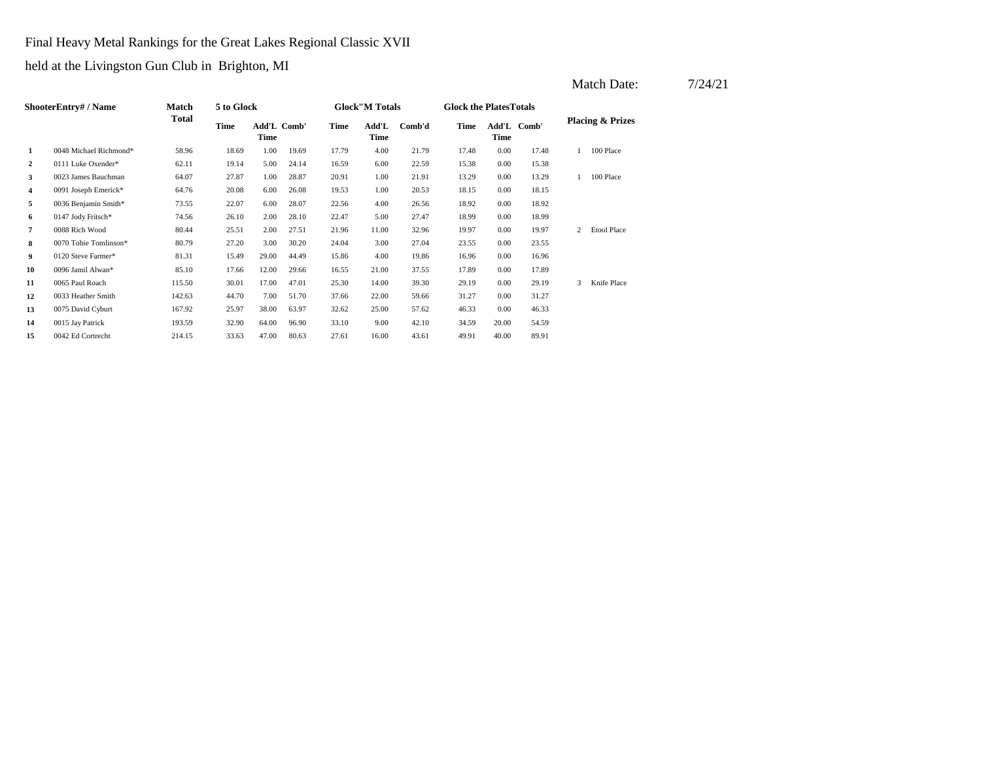Final Heavy Metal Rankings for the Great Lakes Regional Classic XVII

|                |                           |        |            |                     |       |       |                        |        |                                |             |             |   | Match Date:                 | 7/24/21 |
|----------------|---------------------------|--------|------------|---------------------|-------|-------|------------------------|--------|--------------------------------|-------------|-------------|---|-----------------------------|---------|
|                | <b>ShooterEntry#/Name</b> | Match  | 5 to Glock |                     |       |       | <b>Glock</b> "M Totals |        | <b>Glock the Plates Totals</b> |             |             |   |                             |         |
|                |                           | Total  | Time       | Add'L Comb'<br>Time |       | Time  | Add'L<br>Time          | Comb'd | Time                           | <b>Time</b> | Add'L Comb' |   | <b>Placing &amp; Prizes</b> |         |
| 1              | 0048 Michael Richmond*    | 58.96  | 18.69      | 1.00                | 19.69 | 17.79 | 4.00                   | 21.79  | 17.48                          | 0.00        | 17.48       |   | 100 Place                   |         |
| $\overline{2}$ | 0111 Luke Oxender*        | 62.11  | 19.14      | 5.00                | 24.14 | 16.59 | 6.00                   | 22.59  | 15.38                          | 0.00        | 15.38       |   |                             |         |
| 3              | 0023 James Bauchman       | 64.07  | 27.87      | 1.00                | 28.87 | 20.91 | 1.00                   | 21.91  | 13.29                          | 0.00        | 13.29       |   | 100 Place                   |         |
| $\overline{4}$ | 0091 Joseph Emerick*      | 64.76  | 20.08      | 6.00                | 26.08 | 19.53 | 1.00                   | 20.53  | 18.15                          | 0.00        | 18.15       |   |                             |         |
| 5              | 0036 Benjamin Smith*      | 73.55  | 22.07      | 6.00                | 28.07 | 22.56 | 4.00                   | 26.56  | 18.92                          | 0.00        | 18.92       |   |                             |         |
| 6              | 0147 Jody Fritsch*        | 74.56  | 26.10      | 2.00                | 28.10 | 22.47 | 5.00                   | 27.47  | 18.99                          | 0.00        | 18.99       |   |                             |         |
| 7              | 0088 Rich Wood            | 80.44  | 25.51      | 2.00                | 27.51 | 21.96 | 11.00                  | 32.96  | 19.97                          | 0.00        | 19.97       |   | 2 Etool Place               |         |
| 8              | 0070 Tobie Tomlinson*     | 80.79  | 27.20      | 3.00                | 30.20 | 24.04 | 3.00                   | 27.04  | 23.55                          | 0.00        | 23.55       |   |                             |         |
| 9              | 0120 Steve Farmer*        | 81.31  | 15.49      | 29.00               | 44.49 | 15.86 | 4.00                   | 19.86  | 16.96                          | 0.00        | 16.96       |   |                             |         |
| 10             | 0096 Jamil Alwan*         | 85.10  | 17.66      | 12.00               | 29.66 | 16.55 | 21.00                  | 37.55  | 17.89                          | 0.00        | 17.89       |   |                             |         |
| 11             | 0065 Paul Roach           | 115.50 | 30.01      | 17.00               | 47.01 | 25.30 | 14.00                  | 39.30  | 29.19                          | 0.00        | 29.19       | 3 | Knife Place                 |         |
| 12             | 0033 Heather Smith        | 142.63 | 44.70      | 7.00                | 51.70 | 37.66 | 22.00                  | 59.66  | 31.27                          | 0.00        | 31.27       |   |                             |         |
| 13             | 0075 David Cyburt         | 167.92 | 25.97      | 38.00               | 63.97 | 32.62 | 25.00                  | 57.62  | 46.33                          | 0.00        | 46.33       |   |                             |         |
| 14             | 0015 Jay Patrick          | 193.59 | 32.90      | 64.00               | 96.90 | 33.10 | 9.00                   | 42.10  | 34.59                          | 20.00       | 54.59       |   |                             |         |
| 15             | 0042 Ed Cortrecht         | 214.15 | 33.63      | 47.00               | 80.63 | 27.61 | 16.00                  | 43.61  | 49.91                          | 40.00       | 89.91       |   |                             |         |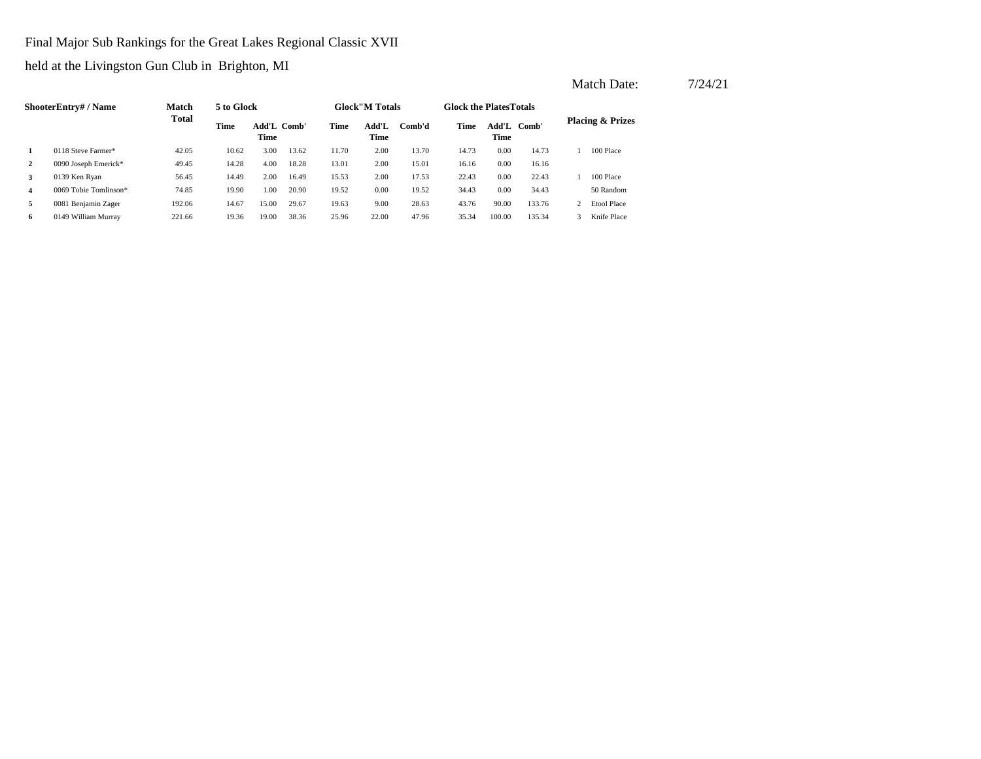Final Major Sub Rankings for the Great Lakes Regional Classic XVII

|                |                       |              |            |                     |       |       |                        |        |                               |               |        | Match Date:                 | 7/24/21 |
|----------------|-----------------------|--------------|------------|---------------------|-------|-------|------------------------|--------|-------------------------------|---------------|--------|-----------------------------|---------|
|                | ShooterEntry# / Name  | <b>Match</b> | 5 to Glock |                     |       |       | <b>Glock</b> "M Totals |        | <b>Glock the PlatesTotals</b> |               |        |                             |         |
|                |                       | <b>Total</b> | Time       | Add'L Comb'<br>Time |       | Time  | Add'L<br>Time          | Comb'd | Time                          | Add'L<br>Time | Comb'  | <b>Placing &amp; Prizes</b> |         |
|                | 0118 Steve Farmer*    | 42.05        | 10.62      | 3.00                | 13.62 | 11.70 | 2.00                   | 13.70  | 14.73                         | 0.00          | 14.73  | 100 Place                   |         |
| $\overline{2}$ | 0090 Joseph Emerick*  | 49.45        | 14.28      | 4.00                | 18.28 | 13.01 | 2.00                   | 15.01  | 16.16                         | 0.00          | 16.16  |                             |         |
| 3              | 0139 Ken Ryan         | 56.45        | 14.49      | 2.00                | 16.49 | 15.53 | 2.00                   | 17.53  | 22.43                         | 0.00          | 22.43  | 100 Place                   |         |
| 4              | 0069 Tobie Tomlinson* | 74.85        | 19.90      | 1.00                | 20.90 | 19.52 | 0.00                   | 19.52  | 34.43                         | 0.00          | 34.43  | 50 Random                   |         |
| 5              | 0081 Benjamin Zager   | 192.06       | 14.67      | 15.00               | 29.67 | 19.63 | 9.00                   | 28.63  | 43.76                         | 90.00         | 133.76 | 2 Etool Place               |         |
| 6              | 0149 William Murray   | 221.66       | 19.36      | 19.00               | 38.36 | 25.96 | 22.00                  | 47.96  | 35.34                         | 100.00        | 135.34 | Knife Place                 |         |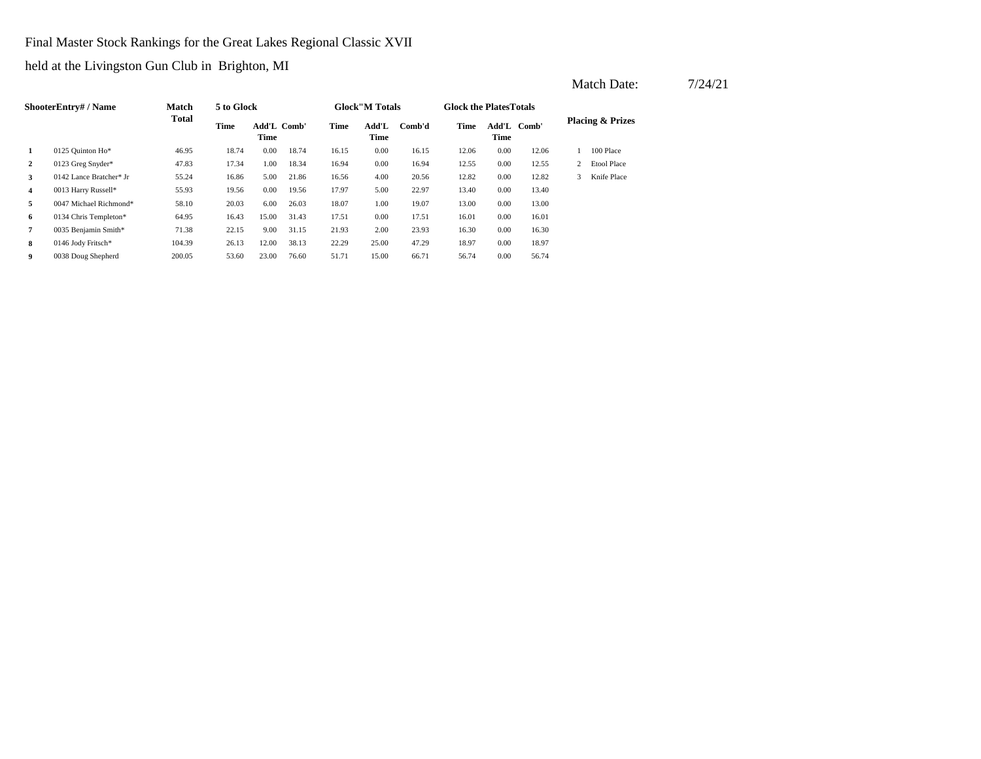Final Master Stock Rankings for the Great Lakes Regional Classic XVII

held at the Livingston Gun Club in Brighton, MI

|                | <b>ShooterEntry#/Name</b> | <b>Match</b> | 5 to Glock |                     |       |       | <b>Glock</b> "M Totals |        | <b>Glock the Plates Totals</b> |                     |       |              |                             |
|----------------|---------------------------|--------------|------------|---------------------|-------|-------|------------------------|--------|--------------------------------|---------------------|-------|--------------|-----------------------------|
|                |                           | <b>Total</b> | Time       | Add'L Comb'<br>Time |       | Time  | Add'L<br>Time          | Comb'd | Time                           | Add'L Comb'<br>Time |       |              | <b>Placing &amp; Prizes</b> |
| 1              | 0125 Quinton Ho*          | 46.95        | 18.74      | 0.00                | 18.74 | 16.15 | 0.00                   | 16.15  | 12.06                          | 0.00                | 12.06 |              | 100 Place                   |
| $\overline{2}$ | 0123 Greg Snyder*         | 47.83        | 17.34      | 1.00                | 18.34 | 16.94 | 0.00                   | 16.94  | 12.55                          | 0.00                | 12.55 | $\mathbf{2}$ | <b>Etool Place</b>          |
| 3              | 0142 Lance Bratcher* Jr   | 55.24        | 16.86      | 5.00                | 21.86 | 16.56 | 4.00                   | 20.56  | 12.82                          | 0.00                | 12.82 | 3            | Knife Place                 |
| 4              | 0013 Harry Russell*       | 55.93        | 19.56      | 0.00                | 19.56 | 17.97 | 5.00                   | 22.97  | 13.40                          | 0.00                | 13.40 |              |                             |
| 5              | 0047 Michael Richmond*    | 58.10        | 20.03      | 6.00                | 26.03 | 18.07 | 1.00                   | 19.07  | 13.00                          | 0.00                | 13.00 |              |                             |
| 6              | 0134 Chris Templeton*     | 64.95        | 16.43      | 15.00               | 31.43 | 17.51 | 0.00                   | 17.51  | 16.01                          | 0.00                | 16.01 |              |                             |
| 7              | 0035 Benjamin Smith*      | 71.38        | 22.15      | 9.00                | 31.15 | 21.93 | 2.00                   | 23.93  | 16.30                          | 0.00                | 16.30 |              |                             |
| 8              | 0146 Jody Fritsch*        | 104.39       | 26.13      | 12.00               | 38.13 | 22.29 | 25.00                  | 47.29  | 18.97                          | 0.00                | 18.97 |              |                             |
| 9              | 0038 Doug Shepherd        | 200.05       | 53.60      | 23.00               | 76.60 | 51.71 | 15.00                  | 66.71  | 56.74                          | 0.00                | 56.74 |              |                             |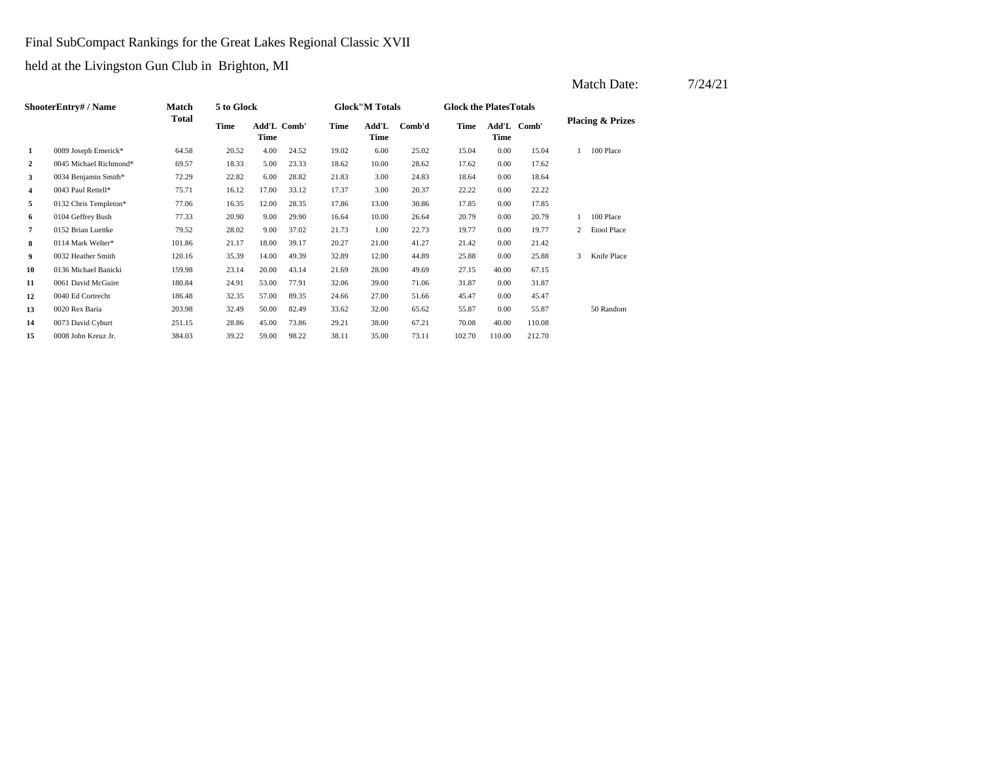Final SubCompact Rankings for the Great Lakes Regional Classic XVII

|                |                        |              |            |                     |       |       |                        |        |                               |             |             |   | Match Date:                 | 7/24/21 |
|----------------|------------------------|--------------|------------|---------------------|-------|-------|------------------------|--------|-------------------------------|-------------|-------------|---|-----------------------------|---------|
|                | ShooterEntry# / Name   | Match        | 5 to Glock |                     |       |       | <b>Glock</b> "M Totals |        | <b>Glock the PlatesTotals</b> |             |             |   |                             |         |
|                |                        | <b>Total</b> | Time       | Add'L Comb'<br>Time |       | Time  | Add'L<br>Time          | Comb'd | Time                          | <b>Time</b> | Add'L Comb' |   | <b>Placing &amp; Prizes</b> |         |
| $\mathbf{1}$   | 0089 Joseph Emerick*   | 64.58        | 20.52      | 4.00                | 24.52 | 19.02 | 6.00                   | 25.02  | 15.04                         | 0.00        | 15.04       |   | 100 Place                   |         |
| $\overline{2}$ | 0045 Michael Richmond* | 69.57        | 18.33      | 5.00                | 23.33 | 18.62 | 10.00                  | 28.62  | 17.62                         | 0.00        | 17.62       |   |                             |         |
| 3              | 0034 Benjamin Smith*   | 72.29        | 22.82      | 6.00                | 28.82 | 21.83 | 3.00                   | 24.83  | 18.64                         | 0.00        | 18.64       |   |                             |         |
| $\overline{4}$ | 0043 Paul Rettell*     | 75.71        | 16.12      | 17.00               | 33.12 | 17.37 | 3.00                   | 20.37  | 22.22                         | 0.00        | 22.22       |   |                             |         |
| 5              | 0132 Chris Templeton*  | 77.06        | 16.35      | 12.00               | 28.35 | 17.86 | 13.00                  | 30.86  | 17.85                         | 0.00        | 17.85       |   |                             |         |
| 6              | 0104 Geffrey Bush      | 77.33        | 20.90      | 9.00                | 29.90 | 16.64 | 10.00                  | 26.64  | 20.79                         | 0.00        | 20.79       |   | 100 Place                   |         |
| 7              | 0152 Brian Luettke     | 79.52        | 28.02      | 9.00                | 37.02 | 21.73 | 1.00                   | 22.73  | 19.77                         | 0.00        | 19.77       |   | 2 Etool Place               |         |
| 8              | 0114 Mark Welter*      | 101.86       | 21.17      | 18.00               | 39.17 | 20.27 | 21.00                  | 41.27  | 21.42                         | 0.00        | 21.42       |   |                             |         |
| 9              | 0032 Heather Smith     | 120.16       | 35.39      | 14.00               | 49.39 | 32.89 | 12.00                  | 44.89  | 25.88                         | 0.00        | 25.88       | 3 | Knife Place                 |         |
| 10             | 0136 Michael Banicki   | 159.98       | 23.14      | 20.00               | 43.14 | 21.69 | 28.00                  | 49.69  | 27.15                         | 40.00       | 67.15       |   |                             |         |
| 11             | 0061 David McGuire     | 180.84       | 24.91      | 53.00               | 77.91 | 32.06 | 39.00                  | 71.06  | 31.87                         | 0.00        | 31.87       |   |                             |         |
| 12             | 0040 Ed Cortrecht      | 186.48       | 32.35      | 57.00               | 89.35 | 24.66 | 27.00                  | 51.66  | 45.47                         | 0.00        | 45.47       |   |                             |         |
| 13             | 0020 Rex Baria         | 203.98       | 32.49      | 50.00               | 82.49 | 33.62 | 32.00                  | 65.62  | 55.87                         | 0.00        | 55.87       |   | 50 Random                   |         |
| 14             | 0073 David Cyburt      | 251.15       | 28.86      | 45.00               | 73.86 | 29.21 | 38.00                  | 67.21  | 70.08                         | 40.00       | 110.08      |   |                             |         |
| 15             | 0008 John Kreuz Jr.    | 384.03       | 39.22      | 59.00               | 98.22 | 38.11 | 35.00                  | 73.11  | 102.70                        | 110.00      | 212.70      |   |                             |         |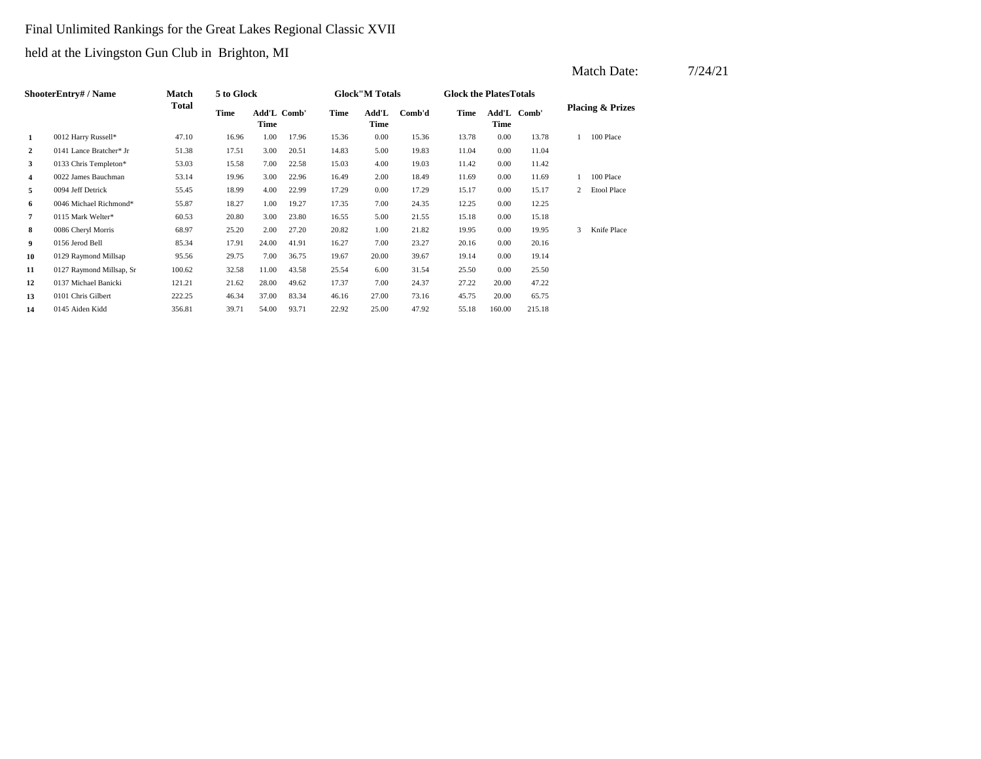# Final Unlimited Rankings for the Great Lakes Regional Classic XVII

|                      |                          |                       |            |                     |       |       |                        |        |       |                                |             |                             | Match Date:        | 7/24/21 |
|----------------------|--------------------------|-----------------------|------------|---------------------|-------|-------|------------------------|--------|-------|--------------------------------|-------------|-----------------------------|--------------------|---------|
| ShooterEntry# / Name |                          | Match<br><b>Total</b> | 5 to Glock |                     |       |       | <b>Glock</b> "M Totals |        |       | <b>Glock the Plates Totals</b> |             |                             |                    |         |
|                      |                          |                       | Time       | Add'L Comb'<br>Time |       | Time  | Add'L<br>Time          | Comb'd | Time  | <b>Time</b>                    | Add'L Comb' | <b>Placing &amp; Prizes</b> |                    |         |
| -1                   | 0012 Harry Russell*      | 47.10                 | 16.96      | 1.00                | 17.96 | 15.36 | 0.00                   | 15.36  | 13.78 | 0.00                           | 13.78       |                             | 100 Place          |         |
| 2                    | 0141 Lance Bratcher* Jr  | 51.38                 | 17.51      | 3.00                | 20.51 | 14.83 | 5.00                   | 19.83  | 11.04 | 0.00                           | 11.04       |                             |                    |         |
| 3                    | 0133 Chris Templeton*    | 53.03                 | 15.58      | 7.00                | 22.58 | 15.03 | 4.00                   | 19.03  | 11.42 | 0.00                           | 11.42       |                             |                    |         |
| $\overline{4}$       | 0022 James Bauchman      | 53.14                 | 19.96      | 3.00                | 22.96 | 16.49 | 2.00                   | 18.49  | 11.69 | 0.00                           | 11.69       |                             | 100 Place          |         |
| 5                    | 0094 Jeff Detrick        | 55.45                 | 18.99      | 4.00                | 22.99 | 17.29 | 0.00                   | 17.29  | 15.17 | 0.00                           | 15.17       | $\overline{2}$              | <b>Etool Place</b> |         |
| 6                    | 0046 Michael Richmond*   | 55.87                 | 18.27      | 1.00                | 19.27 | 17.35 | 7.00                   | 24.35  | 12.25 | 0.00                           | 12.25       |                             |                    |         |
| 7                    | 0115 Mark Welter*        | 60.53                 | 20.80      | 3.00                | 23.80 | 16.55 | 5.00                   | 21.55  | 15.18 | 0.00                           | 15.18       |                             |                    |         |
| 8                    | 0086 Cheryl Morris       | 68.97                 | 25.20      | 2.00                | 27.20 | 20.82 | 1.00                   | 21.82  | 19.95 | 0.00                           | 19.95       |                             | 3 Knife Place      |         |
| 9                    | 0156 Jerod Bell          | 85.34                 | 17.91      | 24.00               | 41.91 | 16.27 | 7.00                   | 23.27  | 20.16 | 0.00                           | 20.16       |                             |                    |         |
| 10                   | 0129 Raymond Millsap     | 95.56                 | 29.75      | 7.00                | 36.75 | 19.67 | 20.00                  | 39.67  | 19.14 | 0.00                           | 19.14       |                             |                    |         |
| 11                   | 0127 Raymond Millsap, Sr | 100.62                | 32.58      | 11.00               | 43.58 | 25.54 | 6.00                   | 31.54  | 25.50 | 0.00                           | 25.50       |                             |                    |         |
| 12                   | 0137 Michael Banicki     | 121.21                | 21.62      | 28.00               | 49.62 | 17.37 | 7.00                   | 24.37  | 27.22 | 20.00                          | 47.22       |                             |                    |         |
| 13                   | 0101 Chris Gilbert       | 222.25                | 46.34      | 37.00               | 83.34 | 46.16 | 27.00                  | 73.16  | 45.75 | 20.00                          | 65.75       |                             |                    |         |
| 14                   | 0145 Aiden Kidd          | 356.81                | 39.71      | 54.00               | 93.71 | 22.92 | 25.00                  | 47.92  | 55.18 | 160.00                         | 215.18      |                             |                    |         |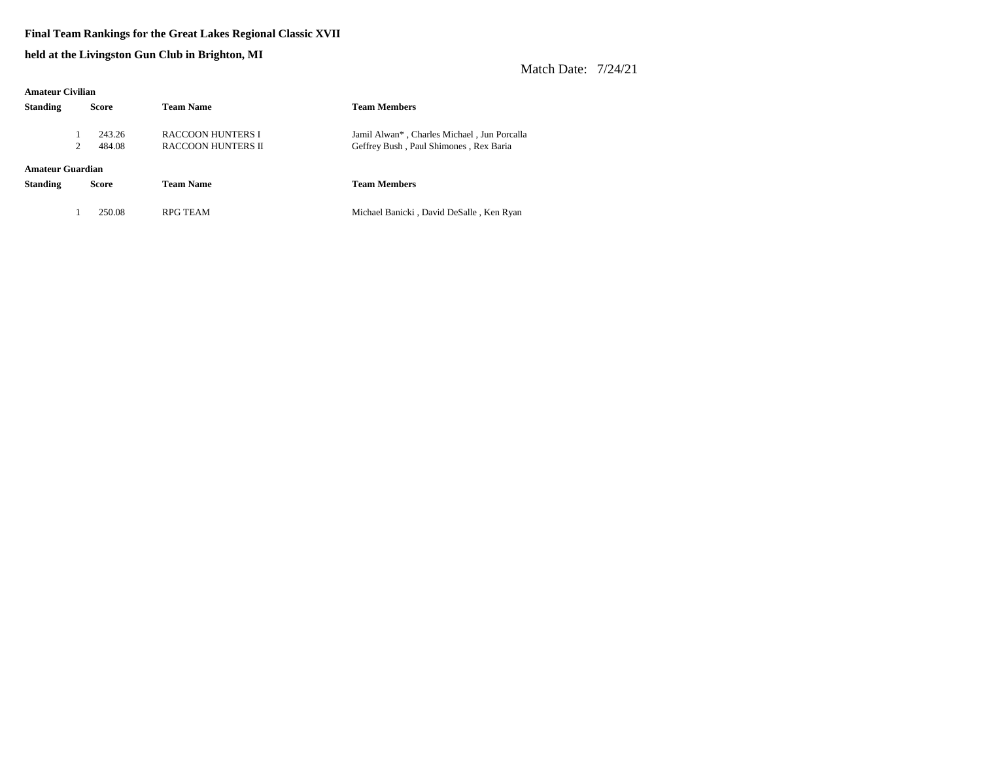#### **Final Team Rankings for the Great Lakes Regional Classic XVII**

**held at the Livingston Gun Club in Brighton, MI**

| <b>Amateur Civilian</b> |              |        |                           |                                             |  |  |  |  |  |
|-------------------------|--------------|--------|---------------------------|---------------------------------------------|--|--|--|--|--|
| <b>Standing</b>         | <b>Score</b> |        | <b>Team Name</b>          | <b>Team Members</b>                         |  |  |  |  |  |
|                         |              | 243.26 | RACCOON HUNTERS I         | Jamil Alwan*, Charles Michael, Jun Porcalla |  |  |  |  |  |
|                         | 2            | 484.08 | <b>RACCOON HUNTERS II</b> | Geffrey Bush, Paul Shimones, Rex Baria      |  |  |  |  |  |
|                         |              |        |                           |                                             |  |  |  |  |  |
| Amateur Guardian        |              |        |                           |                                             |  |  |  |  |  |
| <b>Standing</b>         | <b>Score</b> |        | <b>Team Name</b>          | <b>Team Members</b>                         |  |  |  |  |  |
|                         |              |        |                           |                                             |  |  |  |  |  |
|                         |              | 250.08 | RPG TEAM                  | Michael Banicki, David DeSalle, Ken Ryan    |  |  |  |  |  |